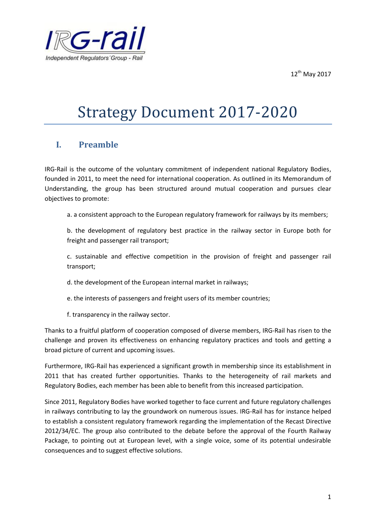12<sup>th</sup> May 2017



# Strategy Document 2017-2020

# **I. Preamble**

IRG-Rail is the outcome of the voluntary commitment of independent national Regulatory Bodies, founded in 2011, to meet the need for international cooperation. As outlined in its Memorandum of Understanding, the group has been structured around mutual cooperation and pursues clear objectives to promote:

a. a consistent approach to the European regulatory framework for railways by its members;

b. the development of regulatory best practice in the railway sector in Europe both for freight and passenger rail transport;

c. sustainable and effective competition in the provision of freight and passenger rail transport;

d. the development of the European internal market in railways;

- e. the interests of passengers and freight users of its member countries;
- f. transparency in the railway sector.

Thanks to a fruitful platform of cooperation composed of diverse members, IRG-Rail has risen to the challenge and proven its effectiveness on enhancing regulatory practices and tools and getting a broad picture of current and upcoming issues.

Furthermore, IRG-Rail has experienced a significant growth in membership since its establishment in 2011 that has created further opportunities. Thanks to the heterogeneity of rail markets and Regulatory Bodies, each member has been able to benefit from this increased participation.

Since 2011, Regulatory Bodies have worked together to face current and future regulatory challenges in railways contributing to lay the groundwork on numerous issues. IRG-Rail has for instance helped to establish a consistent regulatory framework regarding the implementation of the Recast Directive 2012/34/EC. The group also contributed to the debate before the approval of the Fourth Railway Package, to pointing out at European level, with a single voice, some of its potential undesirable consequences and to suggest effective solutions.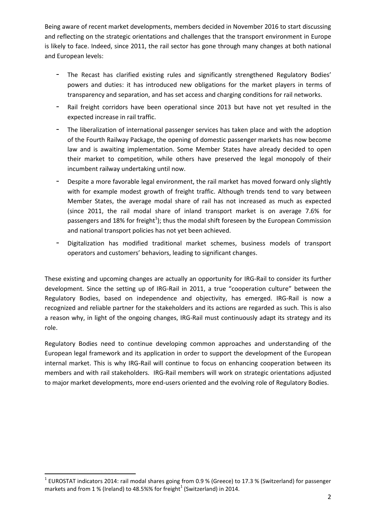Being aware of recent market developments, members decided in November 2016 to start discussing and reflecting on the strategic orientations and challenges that the transport environment in Europe is likely to face. Indeed, since 2011, the rail sector has gone through many changes at both national and European levels:

- The Recast has clarified existing rules and significantly strengthened Regulatory Bodies' powers and duties: it has introduced new obligations for the market players in terms of transparency and separation, and has set access and charging conditions for rail networks.
- Rail freight corridors have been operational since 2013 but have not yet resulted in the expected increase in rail traffic.
- The liberalization of international passenger services has taken place and with the adoption of the Fourth Railway Package, the opening of domestic passenger markets has now become law and is awaiting implementation. Some Member States have already decided to open their market to competition, while others have preserved the legal monopoly of their incumbent railway undertaking until now.
- Despite a more favorable legal environment, the rail market has moved forward only slightly with for example modest growth of freight traffic. Although trends tend to vary between Member States, the average modal share of rail has not increased as much as expected (since 2011, the rail modal share of inland transport market is on average 7.6% for passengers and 18% for freight<sup>1</sup>); thus the modal shift foreseen by the European Commission and national transport policies has not yet been achieved.
- Digitalization has modified traditional market schemes, business models of transport operators and customers' behaviors, leading to significant changes.

These existing and upcoming changes are actually an opportunity for IRG-Rail to consider its further development. Since the setting up of IRG-Rail in 2011, a true "cooperation culture" between the Regulatory Bodies, based on independence and objectivity, has emerged. IRG-Rail is now a recognized and reliable partner for the stakeholders and its actions are regarded as such. This is also a reason why, in light of the ongoing changes, IRG-Rail must continuously adapt its strategy and its role.

Regulatory Bodies need to continue developing common approaches and understanding of the European legal framework and its application in order to support the development of the European internal market. This is why IRG-Rail will continue to focus on enhancing cooperation between its members and with rail stakeholders. IRG-Rail members will work on strategic orientations adjusted to major market developments, more end-users oriented and the evolving role of Regulatory Bodies.

1

 $^1$  EUROSTAT indicators 2014: rail modal shares going from 0.9 % (Greece) to 17.3 % (Switzerland) for passenger markets and from 1 % (Ireland) to 48.5%% for freight $^1$  (Switzerland) in 2014.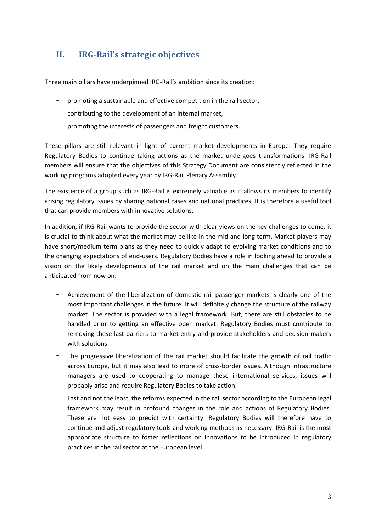# **II. IRG-Rail's strategic objectives**

Three main pillars have underpinned IRG-Rail's ambition since its creation:

- promoting a sustainable and effective competition in the rail sector,
- contributing to the development of an internal market,
- promoting the interests of passengers and freight customers.

These pillars are still relevant in light of current market developments in Europe. They require Regulatory Bodies to continue taking actions as the market undergoes transformations. IRG-Rail members will ensure that the objectives of this Strategy Document are consistently reflected in the working programs adopted every year by IRG-Rail Plenary Assembly.

The existence of a group such as IRG-Rail is extremely valuable as it allows its members to identify arising regulatory issues by sharing national cases and national practices. It is therefore a useful tool that can provide members with innovative solutions.

In addition, if IRG-Rail wants to provide the sector with clear views on the key challenges to come, it is crucial to think about what the market may be like in the mid and long term. Market players may have short/medium term plans as they need to quickly adapt to evolving market conditions and to the changing expectations of end-users. Regulatory Bodies have a role in looking ahead to provide a vision on the likely developments of the rail market and on the main challenges that can be anticipated from now on:

- Achievement of the liberalization of domestic rail passenger markets is clearly one of the most important challenges in the future. It will definitely change the structure of the railway market. The sector is provided with a legal framework. But, there are still obstacles to be handled prior to getting an effective open market. Regulatory Bodies must contribute to removing these last barriers to market entry and provide stakeholders and decision-makers with solutions.
- The progressive liberalization of the rail market should facilitate the growth of rail traffic across Europe, but it may also lead to more of cross-border issues. Although infrastructure managers are used to cooperating to manage these international services, issues will probably arise and require Regulatory Bodies to take action.
- Last and not the least, the reforms expected in the rail sector according to the European legal framework may result in profound changes in the role and actions of Regulatory Bodies. These are not easy to predict with certainty. Regulatory Bodies will therefore have to continue and adjust regulatory tools and working methods as necessary. IRG-Rail is the most appropriate structure to foster reflections on innovations to be introduced in regulatory practices in the rail sector at the European level.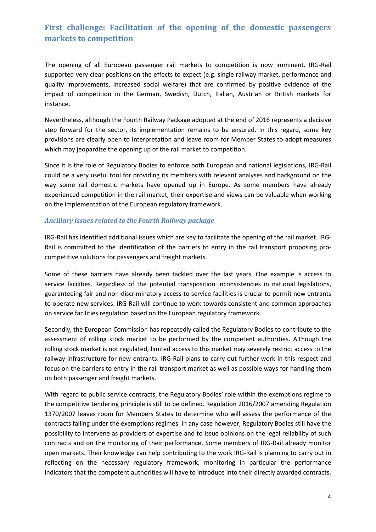# **First challenge: Facilitation of the opening of the domestic passengers markets to competition**

The opening of all European passenger rail markets to competition is now imminent. IRG-Rail supported very clear positions on the effects to expect (e.g. single railway market, performance and quality improvements, increased social welfare) that are confirmed by positive evidence of the impact of competition in the German, Swedish, Dutch, Italian, Austrian or British markets for instance.

Nevertheless, although the Fourth Railway Package adopted at the end of 2016 represents a decisive step forward for the sector, its implementation remains to be ensured. In this regard, some key provisions are clearly open to interpretation and leave room for Member States to adopt measures which may jeopardize the opening up of the rail market to competition.

Since it is the role of Regulatory Bodies to enforce both European and national legislations, IRG-Rail could be a very useful tool for providing its members with relevant analyses and background on the way some rail domestic markets have opened up in Europe. As some members have already experienced competition in the rail market, their expertise and views can be valuable when working on the implementation of the European regulatory framework.

## *Ancillary issues related to the Fourth Railway package*

IRG-Rail has identified additional issues which are key to facilitate the opening of the rail market. IRG-Rail is committed to the identification of the barriers to entry in the rail transport proposing procompetitive solutions for passengers and freight markets.

Some of these barriers have already been tackled over the last years. One example is access to service facilities. Regardless of the potential transposition inconsistencies in national legislations, guaranteeing fair and non-discriminatory access to service facilities is crucial to permit new entrants to operate new services. IRG-Rail will continue to work towards consistent and common approaches on service facilities regulation based on the European regulatory framework.

Secondly, the European Commission has repeatedly called the Regulatory Bodies to contribute to the assessment of rolling stock market to be performed by the competent authorities. Although the rolling stock market is not regulated, limited access to this market may severely restrict access to the railway infrastructure for new entrants. IRG-Rail plans to carry out further work in this respect and focus on the barriers to entry in the rail transport market as well as possible ways for handling them on both passenger and freight markets.

With regard to public service contracts, the Regulatory Bodies' role within the exemptions regime to the competitive tendering principle is still to be defined. Regulation 2016/2007 amending Regulation 1370/2007 leaves room for Members States to determine who will assess the performance of the contracts falling under the exemptions regimes. In any case however, Regulatory Bodies still have the possibility to intervene as providers of expertise and to issue opinions on the legal reliability of such contracts and on the monitoring of their performance. Some members of IRG-Rail already monitor open markets. Their knowledge can help contributing to the work IRG-Rail is planning to carry out in reflecting on the necessary regulatory framework, monitoring in particular the performance indicators that the competent authorities will have to introduce into their directly awarded contracts.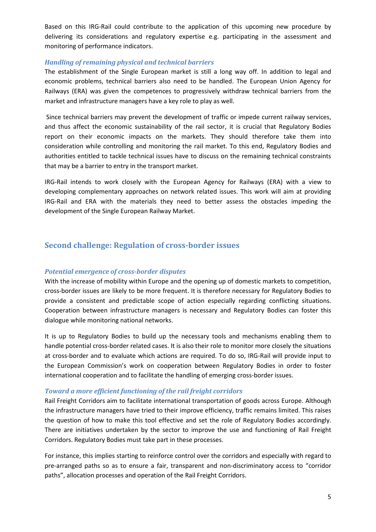Based on this IRG-Rail could contribute to the application of this upcoming new procedure by delivering its considerations and regulatory expertise e.g. participating in the assessment and monitoring of performance indicators.

#### *Handling of remaining physical and technical barriers*

The establishment of the Single European market is still a long way off. In addition to legal and economic problems, technical barriers also need to be handled. The European Union Agency for Railways (ERA) was given the competences to progressively withdraw technical barriers from the market and infrastructure managers have a key role to play as well.

Since technical barriers may prevent the development of traffic or impede current railway services, and thus affect the economic sustainability of the rail sector, it is crucial that Regulatory Bodies report on their economic impacts on the markets. They should therefore take them into consideration while controlling and monitoring the rail market. To this end, Regulatory Bodies and authorities entitled to tackle technical issues have to discuss on the remaining technical constraints that may be a barrier to entry in the transport market.

IRG-Rail intends to work closely with the European Agency for Railways (ERA) with a view to developing complementary approaches on network related issues. This work will aim at providing IRG-Rail and ERA with the materials they need to better assess the obstacles impeding the development of the Single European Railway Market.

# **Second challenge: Regulation of cross-border issues**

## *Potential emergence of cross-border disputes*

With the increase of mobility within Europe and the opening up of domestic markets to competition, cross-border issues are likely to be more frequent. It is therefore necessary for Regulatory Bodies to provide a consistent and predictable scope of action especially regarding conflicting situations. Cooperation between infrastructure managers is necessary and Regulatory Bodies can foster this dialogue while monitoring national networks.

It is up to Regulatory Bodies to build up the necessary tools and mechanisms enabling them to handle potential cross-border related cases. It is also their role to monitor more closely the situations at cross-border and to evaluate which actions are required. To do so, IRG-Rail will provide input to the European Commission's work on cooperation between Regulatory Bodies in order to foster international cooperation and to facilitate the handling of emerging cross-border issues.

#### *Toward a more efficient functioning of the rail freight corridors*

Rail Freight Corridors aim to facilitate international transportation of goods across Europe. Although the infrastructure managers have tried to their improve efficiency, traffic remains limited. This raises the question of how to make this tool effective and set the role of Regulatory Bodies accordingly. There are initiatives undertaken by the sector to improve the use and functioning of Rail Freight Corridors. Regulatory Bodies must take part in these processes.

For instance, this implies starting to reinforce control over the corridors and especially with regard to pre-arranged paths so as to ensure a fair, transparent and non-discriminatory access to "corridor paths", allocation processes and operation of the Rail Freight Corridors.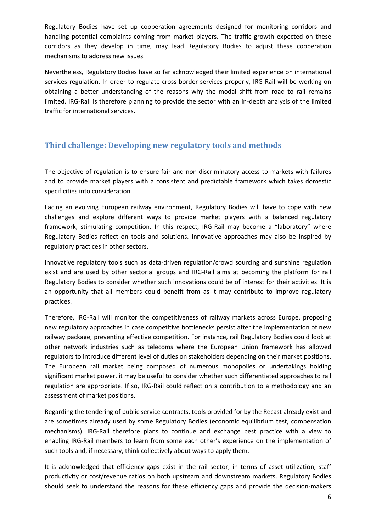Regulatory Bodies have set up cooperation agreements designed for monitoring corridors and handling potential complaints coming from market players. The traffic growth expected on these corridors as they develop in time, may lead Regulatory Bodies to adjust these cooperation mechanisms to address new issues.

Nevertheless, Regulatory Bodies have so far acknowledged their limited experience on international services regulation. In order to regulate cross-border services properly, IRG-Rail will be working on obtaining a better understanding of the reasons why the modal shift from road to rail remains limited. IRG-Rail is therefore planning to provide the sector with an in-depth analysis of the limited traffic for international services.

# **Third challenge: Developing new regulatory tools and methods**

The objective of regulation is to ensure fair and non-discriminatory access to markets with failures and to provide market players with a consistent and predictable framework which takes domestic specificities into consideration.

Facing an evolving European railway environment, Regulatory Bodies will have to cope with new challenges and explore different ways to provide market players with a balanced regulatory framework, stimulating competition. In this respect, IRG-Rail may become a "laboratory" where Regulatory Bodies reflect on tools and solutions. Innovative approaches may also be inspired by regulatory practices in other sectors.

Innovative regulatory tools such as data-driven regulation/crowd sourcing and sunshine regulation exist and are used by other sectorial groups and IRG-Rail aims at becoming the platform for rail Regulatory Bodies to consider whether such innovations could be of interest for their activities. It is an opportunity that all members could benefit from as it may contribute to improve regulatory practices.

Therefore, IRG-Rail will monitor the competitiveness of railway markets across Europe, proposing new regulatory approaches in case competitive bottlenecks persist after the implementation of new railway package, preventing effective competition. For instance, rail Regulatory Bodies could look at other network industries such as telecoms where the European Union framework has allowed regulators to introduce different level of duties on stakeholders depending on their market positions. The European rail market being composed of numerous monopolies or undertakings holding significant market power, it may be useful to consider whether such differentiated approaches to rail regulation are appropriate. If so, IRG-Rail could reflect on a contribution to a methodology and an assessment of market positions.

Regarding the tendering of public service contracts, tools provided for by the Recast already exist and are sometimes already used by some Regulatory Bodies (economic equilibrium test, compensation mechanisms). IRG-Rail therefore plans to continue and exchange best practice with a view to enabling IRG-Rail members to learn from some each other's experience on the implementation of such tools and, if necessary, think collectively about ways to apply them.

It is acknowledged that efficiency gaps exist in the rail sector, in terms of asset utilization, staff productivity or cost/revenue ratios on both upstream and downstream markets. Regulatory Bodies should seek to understand the reasons for these efficiency gaps and provide the decision-makers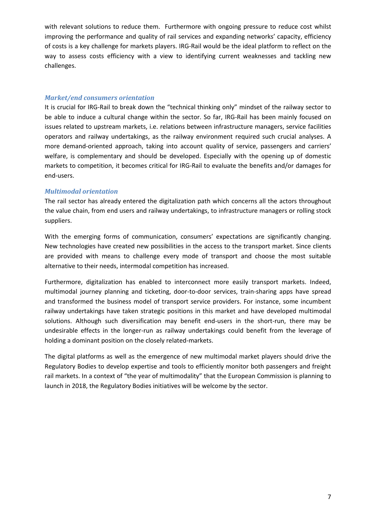with relevant solutions to reduce them. Furthermore with ongoing pressure to reduce cost whilst improving the performance and quality of rail services and expanding networks' capacity, efficiency of costs is a key challenge for markets players. IRG-Rail would be the ideal platform to reflect on the way to assess costs efficiency with a view to identifying current weaknesses and tackling new challenges.

## *Market/end consumers orientation*

It is crucial for IRG-Rail to break down the "technical thinking only" mindset of the railway sector to be able to induce a cultural change within the sector. So far, IRG-Rail has been mainly focused on issues related to upstream markets, i.e. relations between infrastructure managers, service facilities operators and railway undertakings, as the railway environment required such crucial analyses. A more demand-oriented approach, taking into account quality of service, passengers and carriers' welfare, is complementary and should be developed. Especially with the opening up of domestic markets to competition, it becomes critical for IRG-Rail to evaluate the benefits and/or damages for end-users.

## *Multimodal orientation*

The rail sector has already entered the digitalization path which concerns all the actors throughout the value chain, from end users and railway undertakings, to infrastructure managers or rolling stock suppliers.

With the emerging forms of communication, consumers' expectations are significantly changing. New technologies have created new possibilities in the access to the transport market. Since clients are provided with means to challenge every mode of transport and choose the most suitable alternative to their needs, intermodal competition has increased.

Furthermore, digitalization has enabled to interconnect more easily transport markets. Indeed, multimodal journey planning and ticketing, door-to-door services, train-sharing apps have spread and transformed the business model of transport service providers. For instance, some incumbent railway undertakings have taken strategic positions in this market and have developed multimodal solutions. Although such diversification may benefit end-users in the short-run, there may be undesirable effects in the longer-run as railway undertakings could benefit from the leverage of holding a dominant position on the closely related-markets.

The digital platforms as well as the emergence of new multimodal market players should drive the Regulatory Bodies to develop expertise and tools to efficiently monitor both passengers and freight rail markets. In a context of "the year of multimodality" that the European Commission is planning to launch in 2018, the Regulatory Bodies initiatives will be welcome by the sector.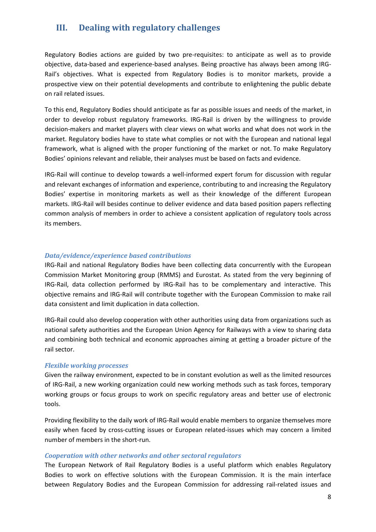# **III. Dealing with regulatory challenges**

Regulatory Bodies actions are guided by two pre-requisites: to anticipate as well as to provide objective, data-based and experience-based analyses. Being proactive has always been among IRG-Rail's objectives. What is expected from Regulatory Bodies is to monitor markets, provide a prospective view on their potential developments and contribute to enlightening the public debate on rail related issues.

To this end, Regulatory Bodies should anticipate as far as possible issues and needs of the market, in order to develop robust regulatory frameworks. IRG-Rail is driven by the willingness to provide decision-makers and market players with clear views on what works and what does not work in the market. Regulatory bodies have to state what complies or not with the European and national legal framework, what is aligned with the proper functioning of the market or not. To make Regulatory Bodies' opinions relevant and reliable, their analyses must be based on facts and evidence.

IRG-Rail will continue to develop towards a well-informed expert forum for discussion with regular and relevant exchanges of information and experience, contributing to and increasing the Regulatory Bodies' expertise in monitoring markets as well as their knowledge of the different European markets. IRG-Rail will besides continue to deliver evidence and data based position papers reflecting common analysis of members in order to achieve a consistent application of regulatory tools across its members.

## *Data/evidence/experience based contributions*

IRG-Rail and national Regulatory Bodies have been collecting data concurrently with the European Commission Market Monitoring group (RMMS) and Eurostat. As stated from the very beginning of IRG-Rail, data collection performed by IRG-Rail has to be complementary and interactive. This objective remains and IRG-Rail will contribute together with the European Commission to make rail data consistent and limit duplication in data collection.

IRG-Rail could also develop cooperation with other authorities using data from organizations such as national safety authorities and the European Union Agency for Railways with a view to sharing data and combining both technical and economic approaches aiming at getting a broader picture of the rail sector.

#### *Flexible working processes*

Given the railway environment, expected to be in constant evolution as well as the limited resources of IRG-Rail, a new working organization could new working methods such as task forces, temporary working groups or focus groups to work on specific regulatory areas and better use of electronic tools.

Providing flexibility to the daily work of IRG-Rail would enable members to organize themselves more easily when faced by cross-cutting issues or European related-issues which may concern a limited number of members in the short-run.

#### *Cooperation with other networks and other sectoral regulators*

The European Network of Rail Regulatory Bodies is a useful platform which enables Regulatory Bodies to work on effective solutions with the European Commission. It is the main interface between Regulatory Bodies and the European Commission for addressing rail-related issues and